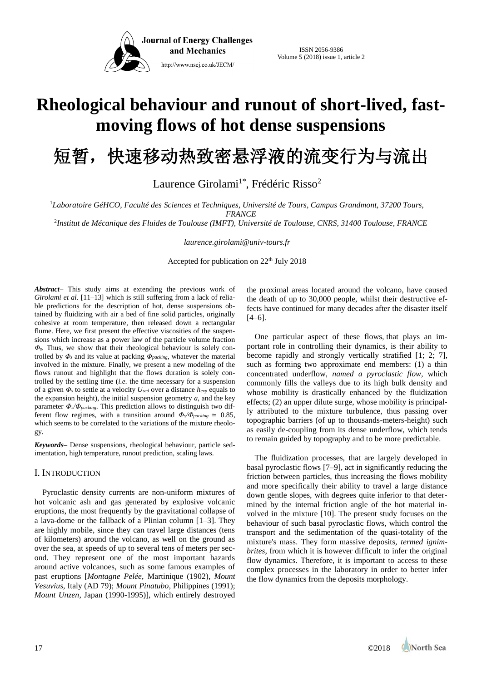

# **Rheological behaviour and runout of short-lived, fastmoving flows of hot dense suspensions**

短暂,快速移动热致密悬浮液的流变行为与流出

Laurence Girolami<sup>1\*</sup>, Frédéric Risso<sup>2</sup>

<sup>1</sup>Laboratoire GéHCO, Faculté des Sciences et Techniques, Université de Tours, Campus Grandmont, 37200 Tours, *FRANCE*

*Institut de Mécanique des Fluides de Toulouse (IMFT), Université de Toulouse, CNRS, 31400 Toulouse, FRANCE* <sup>2</sup>

*laurence.girolami@univ-tours.fr*

Accepted for publication on  $22<sup>th</sup>$  July 2018

*Abstract–* This study aims at extending the previous work of *Girolami et al.* [11–13] which is still suffering from a lack of reliable predictions for the description of hot, dense suspensions obtained by fluidizing with air a bed of fine solid particles, originally cohesive at room temperature, then released down a rectangular flume. Here, we first present the effective viscosities of the suspensions which increase as a power law of the particle volume fraction *Φs*. Thus, we show that their rheological behaviour is solely controlled by *Φ<sup>s</sup>* and its value at packing *Φpacking*, whatever the material involved in the mixture. Finally, we present a new modeling of the flows runout and highlight that the flows duration is solely controlled by the settling time (*i.e.* the time necessary for a suspension of a given *Φ<sup>s</sup>* to settle at a velocity *Used* over a distance *hexp* equals to the expansion height), the initial suspension geometry  $a$ , and the key parameter *Φs/Φpacking*. This prediction allows to distinguish two different flow regimes, with a transition around  $\Phi_s/\Phi_{packing} \simeq 0.85$ , which seems to be correlated to the variations of the mixture rheology.

*Keywords***–** Dense suspensions, rheological behaviour, particle sedimentation, high temperature, runout prediction, scaling laws.

## I. INTRODUCTION

Pyroclastic density currents are non-uniform mixtures of hot volcanic ash and gas generated by explosive volcanic eruptions, the most frequently by the gravitational collapse of a lava-dome or the fallback of a Plinian column [1–3]. They are highly mobile, since they can travel large distances (tens of kilometers) around the volcano, as well on the ground as over the sea, at speeds of up to several tens of meters per second. They represent one of the most important hazards around active volcanoes, such as some famous examples of past eruptions [*Montagne Pelée*, Martinique (1902), *Mount Vesuvius*, Italy (AD 79); *Mount Pinatubo*, Philippines (1991); *Mount Unzen*, Japan (1990-1995)], which entirely destroyed the proximal areas located around the volcano, have caused the death of up to 30,000 people, whilst their destructive effects have continued for many decades after the disaster itself  $[4–6]$ .

One particular aspect of these flows, that plays an important role in controlling their dynamics, is their ability to become rapidly and strongly vertically stratified [1; 2; 7], such as forming two approximate end members: (1) a thin concentrated underflow, *named a pyroclastic flow*, which commonly fills the valleys due to its high bulk density and whose mobility is drastically enhanced by the fluidization effects; (2) an upper dilute surge, whose mobility is principally attributed to the mixture turbulence, thus passing over topographic barriers (of up to thousands-meters-height) such as easily de-coupling from its dense underflow, which tends to remain guided by topography and to be more predictable.

The fluidization processes, that are largely developed in basal pyroclastic flows [7–9], act in significantly reducing the friction between particles, thus increasing the flows mobility and more specifically their ability to travel a large distance down gentle slopes, with degrees quite inferior to that determined by the internal friction angle of the hot material involved in the mixture [10]. The present study focuses on the behaviour of such basal pyroclastic flows, which control the transport and the sedimentation of the quasi-totality of the mixture's mass. They form massive deposits, *termed ignimbrites*, from which it is however difficult to infer the original flow dynamics. Therefore, it is important to access to these complex processes in the laboratory in order to better infer the flow dynamics from the deposits morphology.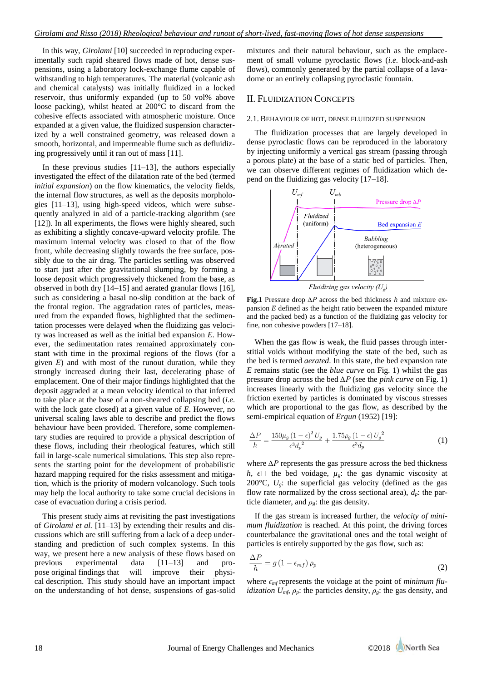In this way, *Girolami* [10] succeeded in reproducing experimentally such rapid sheared flows made of hot, dense suspensions, using a laboratory lock-exchange flume capable of withstanding to high temperatures. The material (volcanic ash and chemical catalysts) was initially fluidized in a locked reservoir, thus uniformly expanded (up to 50 vol% above loose packing), whilst heated at 200°C to discard from the cohesive effects associated with atmospheric moisture. Once expanded at a given value, the fluidized suspension characterized by a well constrained geometry, was released down a smooth, horizontal, and impermeable flume such as defluidizing progressively until it ran out of mass [11].

In these previous studies  $[11-13]$ , the authors especially investigated the effect of the dilatation rate of the bed (termed *initial expansion*) on the flow kinematics, the velocity fields, the internal flow structures, as well as the deposits morphologies [11–13], using high-speed videos, which were subsequently analyzed in aid of a particle-tracking algorithm (*see* [12]). In all experiments, the flows were highly sheared, such as exhibiting a slightly concave-upward velocity profile. The maximum internal velocity was closed to that of the flow front, while decreasing slightly towards the free surface, possibly due to the air drag. The particles settling was observed to start just after the gravitational slumping, by forming a loose deposit which progressively thickened from the base, as observed in both dry [14–15] and aerated granular flows [16], such as considering a basal no-slip condition at the back of the frontal region. The aggradation rates of particles, measured from the expanded flows, highlighted that the sedimentation processes were delayed when the fluidizing gas velocity was increased as well as the initial bed expansion *E*. However, the sedimentation rates remained approximately constant with time in the proximal regions of the flows (for a given *E*) and with most of the runout duration, while they strongly increased during their last, decelerating phase of emplacement. One of their major findings highlighted that the deposit aggraded at a mean velocity identical to that inferred to take place at the base of a non-sheared collapsing bed (*i.e.* with the lock gate closed) at a given value of *E*. However, no universal scaling laws able to describe and predict the flows behaviour have been provided. Therefore, some complementary studies are required to provide a physical description of these flows, including their rheological features, which still fail in large-scale numerical simulations. This step also represents the starting point for the development of probabilistic hazard mapping required for the risks assessment and mitigation, which is the priority of modern volcanology. Such tools may help the local authority to take some crucial decisions in case of evacuation during a crisis period.

This present study aims at revisiting the past investigations of *Girolami et al.* [11–13] by extending their results and discussions which are still suffering from a lack of a deep understanding and prediction of such complex systems. In this way, we present here a new analysis of these flows based on previous experimental data [11–13] and propose original findings that will improve their physical description. This study should have an important impact on the understanding of hot dense, suspensions of gas-solid

mixtures and their natural behaviour, such as the emplacement of small volume pyroclastic flows (*i.e.* block-and-ash flows), commonly generated by the partial collapse of a lavadome or an entirely collapsing pyroclastic fountain.

## II. FLUIDIZATION CONCEPTS

## 2.1. BEHAVIOUR OF HOT, DENSE FLUIDIZED SUSPENSION

The fluidization processes that are largely developed in dense pyroclastic flows can be reproduced in the laboratory by injecting uniformly a vertical gas stream (passing through a porous plate) at the base of a static bed of particles. Then, we can observe different regimes of fluidization which depend on the fluidizing gas velocity [17–18].



Fluidizing gas velocity  $(U_{\varrho})$ 

**Fig.1** Pressure drop *∆P* across the bed thickness *h* and mixture expansion *E* defined as the height ratio between the expanded mixture and the packed bed) as a function of the fluidizing gas velocity for fine, non cohesive powders [17–18].

When the gas flow is weak, the fluid passes through interstitial voids without modifying the state of the bed, such as the bed is termed *aerated*. In this state, the bed expansion rate *E* remains static (see the *blue curve* on Fig. 1) whilst the gas pressure drop across the bed *∆P* (see the *pink curve* on Fig. 1) increases linearly with the fluidizing gas velocity since the friction exerted by particles is dominated by viscous stresses which are proportional to the gas flow, as described by the semi-empirical equation of *Ergun* (1952) [19]:

$$
\frac{\Delta P}{h} = \frac{150\mu_g \left(1 - \epsilon\right)^2 U_g}{\epsilon^3 d_p^2} + \frac{1.75\rho_g \left(1 - \epsilon\right) U_g^2}{\epsilon^3 d_p} \tag{1}
$$

where *∆P* represents the gas pressure across the bed thickness *h*,  $\epsilon$  the bed voidage,  $\mu$ <sup>*g*</sup>: the gas dynamic viscosity at 200 $^{\circ}$ C,  $U_e$ : the superficial gas velocity (defined as the gas flow rate normalized by the cross sectional area),  $d_p$ : the particle diameter, and  $\rho_g$ : the gas density.

If the gas stream is increased further, the *velocity of minimum fluidization* is reached. At this point, the driving forces counterbalance the gravitational ones and the total weight of particles is entirely supported by the gas flow, such as:

$$
\frac{\Delta P}{h} = g \left( 1 - \epsilon_{mf} \right) \rho_p \tag{2}
$$

where  $\epsilon_{\text{mf}}$  represents the voidage at the point of *minimum fluidization U<sub>mf</sub>*,  $\rho_p$ : the particles density,  $\rho_g$ : the gas density, and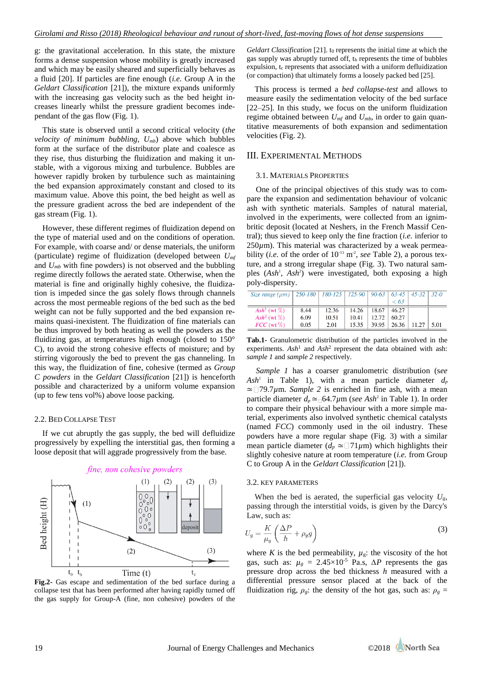g: the gravitational acceleration. In this state, the mixture forms a dense suspension whose mobility is greatly increased and which may be easily sheared and superficially behaves as a fluid [20]. If particles are fine enough (*i.e.* Group A in the *Geldart Classification* [21]), the mixture expands uniformly with the increasing gas velocity such as the bed height increases linearly whilst the pressure gradient becomes independant of the gas flow (Fig. 1).

This state is observed until a second critical velocity (*the velocity of minimum bubbling,*  $U_{mb}$  above which bubbles form at the surface of the distributor plate and coalesce as they rise, thus disturbing the fluidization and making it unstable, with a vigorous mixing and turbulence. Bubbles are however rapidly broken by turbulence such as maintaining the bed expansion approximately constant and closed to its maximum value. Above this point, the bed height as well as the pressure gradient across the bed are independent of the gas stream (Fig. 1).

However, these different regimes of fluidization depend on the type of material used and on the conditions of operation. For example, with coarse and/ or dense materials, the uniform (particulate) regime of fluidization (developed between *Umf* and *Umb* with fine powders) is not observed and the bubbling regime directly follows the aerated state. Otherwise, when the material is fine and originally highly cohesive, the fluidization is impeded since the gas solely flows through channels across the most permeable regions of the bed such as the bed weight can not be fully supported and the bed expansion remains quasi-inexistent. The fluidization of fine materials can be thus improved by both heating as well the powders as the fluidizing gas, at temperatures high enough (closed to 150° C), to avoid the strong cohesive effects of moisture; and by stirring vigorously the bed to prevent the gas channeling. In this way, the fluidization of fine, cohesive (termed as *Group C powders* in the *Geldart Classification* [21]) is henceforth possible and characterized by a uniform volume expansion (up to few tens vol%) above loose packing.

#### 2.2. BED COLLAPSE TEST

If we cut abruptly the gas supply, the bed will defluidize progressively by expelling the interstitial gas, then forming a loose deposit that will aggrade progressively from the base.



**Fig.2-** Gas escape and sedimentation of the bed surface during a collapse test that has been performed after having rapidly turned off the gas supply for Group-A (fine, non cohesive) powders of the

*Geldart Classification* [21]. to represents the initial time at which the gas supply was abruptly turned off,  $t<sub>b</sub>$  represents the time of bubbles expulsion, to represents that associated with a uniform defluidization (or compaction) that ultimately forms a loosely packed bed [25].

This process is termed a *bed collapse-test* and allows to measure easily the sedimentation velocity of the bed surface [22–25]. In this study, we focus on the uniform fluidization regime obtained between *Umf* and *Umb*, in order to gain quantitative measurements of both expansion and sedimentation velocities (Fig. 2).

## III. EXPERIMENTAL METHODS

#### 3.1. MATERIALS PROPERTIES

One of the principal objectives of this study was to compare the expansion and sedimentation behaviour of volcanic ash with synthetic materials. Samples of natural material, involved in the experiments, were collected from an ignimbritic deposit (located at Neshers, in the French Massif Central); thus sieved to keep only the fine fraction (*i.e.* inferior to 250 $\mu$ m). This material was characterized by a weak permeability (*i.e.* of the order of  $10<sup>-11</sup>$  m<sup>2</sup>, *see* Table 2), a porous texture, and a strong irregular shape (Fig. 3). Two natural samples (Ash<sup>1</sup>, Ash<sup>2</sup>) were investigated, both exposing a high poly-dispersity.

| Size range ( $\mu$ m)   250-180   180-125   125-90   90-63   63-45 |      |       |       |       |       | $45 - 32$ | $32-0$ |
|--------------------------------------------------------------------|------|-------|-------|-------|-------|-----------|--------|
|                                                                    |      |       |       |       | < 63  |           |        |
| Ash <sup>1</sup> (wt $\%$ )                                        | 8.44 | 12.36 | 14.26 | 18.67 | 46.27 |           |        |
| Ash <sup>2</sup> (wt $\%$ )                                        | 6.09 | 10.51 | 10.41 | 12.72 | 60.27 |           |        |
| $FCC$ (wt $\%$ )                                                   | 0.05 | 2.01  | 15.35 | 39.95 | 26.36 | 11.27     | 5.01   |

**Tab.1-** Granulometric distribution of the particles involved in the experiments.  $A sh<sup>1</sup>$  and  $A sh<sup>2</sup>$  represent the data obtained with ash: *sample 1* and *sample 2* respectively.

*Sample 1* has a coarser granulometric distribution (s*ee*  $Ash<sup>1</sup>$  in Table 1), with a mean particle diameter  $d_p$ ≃ 79.7*µ*m. *Sample 2* is enriched in fine ash, with a mean particle diameter  $d_p \approx 64.7 \mu m$  (*see Ash*<sup>2</sup> in Table 1). In order to compare their physical behaviour with a more simple material, experiments also involved synthetic chemical catalysts (named *FCC*) commonly used in the oil industry. These powders have a more regular shape (Fig. 3) with a similar mean particle diameter ( $d_p \approx 71 \mu m$ ) which highlights their slightly cohesive nature at room temperature (*i.e.* from Group C to Group A in the *Geldart Classification* [21]).

#### 3.2. KEY PARAMETERS

When the bed is aerated, the superficial gas velocity  $U_g$ , passing through the interstitial voids, is given by the Darcy's Law, such as:

$$
U_g = \frac{K}{\mu_g} \left( \frac{\Delta P}{h} + \rho_g g \right) \tag{3}
$$

where *K* is the bed permeability,  $\mu_{g}$ : the viscosity of the hot gas, such as:  $\mu_g = 2.45 \times 10^{-5}$  Pa.s,  $\Delta P$  represents the gas pressure drop across the bed thickness *h* measured with a differential pressure sensor placed at the back of the fluidization rig,  $\rho_g$ : the density of the hot gas, such as:  $\rho_g$  =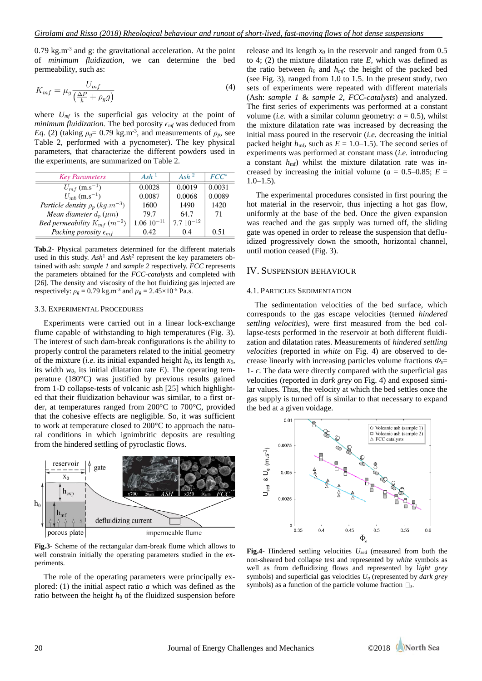$0.79 \text{ kg.m}^3$  and g: the gravitational acceleration. At the point of *minimum fluidization*, we can determine the bed permeability, such as:

$$
K_{mf} = \mu_g \frac{U_{mf}}{\left(\frac{\Delta P}{h} + \rho_g g\right)}\tag{4}
$$

where  $U_{mf}$  is the superficial gas velocity at the point of *minimum fluidization.* The bed porosity  $\epsilon_{mf}$  was deduced from *Eq.* (2) (taking  $\rho_g = 0.79$  kg.m<sup>-3</sup>, and measurements of  $\rho_p$ , see Table 2, performed with a pycnometer). The key physical parameters, that characterize the different powders used in the experiments, are summarized on Table 2.

| <b>Key Parameters</b>                           | Ash <sup>1</sup> | Ash $^2$      | $FCC^*$ |
|-------------------------------------------------|------------------|---------------|---------|
| $U_{mf}$ (m.s <sup>-1</sup> )                   | 0.0028           | 0.0019        | 0.0031  |
| $U_{mb}$ (m.s <sup>-1</sup> )                   | 0.0087           | 0.0068        | 0.0089  |
| Particle density $\rho_p$ (kg.m <sup>-3</sup> ) | 1600             | 1490          | 1420    |
| Mean diameter $d_p(\mu m)$                      | 79.7             | 64.7          | 71      |
| <i>Bed permeability</i> $K_{mf}$ ( $m^{-2}$ )   | $1.06 10^{-11}$  | $7.710^{-12}$ |         |
| Packing porosity $\epsilon_{mf}$                | 0.42             | 0.4           | 0.51    |

**Tab.2-** Physical parameters determined for the different materials used in this study. Ash<sup>1</sup> and Ash<sup>2</sup> represent the key parameters obtained with ash: *sample 1* and *sample 2* respectively. *FCC* represents the parameters obtained for the *FCC-catalysts* and completed with [26]. The density and viscosity of the hot fluidizing gas injected are respectively:  $\rho_g = 0.79$  kg.m<sup>-3</sup> and  $\mu_g = 2.45 \times 10^{-5}$  Pa.s.

#### 3.3. EXPERIMENTAL PROCEDURES

Experiments were carried out in a linear lock-exchange flume capable of withstanding to high temperatures (Fig. 3). The interest of such dam-break configurations is the ability to properly control the parameters related to the initial geometry of the mixture (*i.e.* its initial expanded height  $h_0$ , its length  $x_0$ , its width  $w_0$ , its initial dilatation rate  $E$ ). The operating temperature (180°C) was justified by previous results gained from 1-D collapse-tests of volcanic ash [25] which highlighted that their fluidization behaviour was similar, to a first order, at temperatures ranged from 200°C to 700°C, provided that the cohesive effects are negligible. So, it was sufficient to work at temperature closed to 200°C to approach the natural conditions in which ignimbritic deposits are resulting from the hindered settling of pyroclastic flows.



**Fig.3-** Scheme of the rectangular dam-break flume which allows to well constrain initially the operating parameters studied in the experiments.

The role of the operating parameters were principally explored: (1) the initial aspect ratio *a* which was defined as the ratio between the height  $h_0$  of the fluidized suspension before release and its length  $x_0$  in the reservoir and ranged from 0.5 to 4; (2) the mixture dilatation rate *E,* which was defined as the ratio between  $h_0$  and  $h_{mf}$ : the height of the packed bed (see Fig. 3), ranged from 1.0 to 1.5. In the present study, two sets of experiments were repeated with different materials (Ash: *sample 1* & *sample 2*, *FCC-catalysts*) and analyzed. The first series of experiments was performed at a constant volume (*i.e.* with a similar column geometry:  $a = 0.5$ ), whilst the mixture dilatation rate was increased by decreasing the initial mass poured in the reservoir (*i.e.* decreasing the initial packed height  $h_{\text{mf}}$ , such as  $E = 1.0{\text -}1.5$ ). The second series of experiments was performed at constant mass (*i.e.* introducing a constant  $h_{\text{mf}}$ ) whilst the mixture dilatation rate was increased by increasing the initial volume ( $a = 0.5{\text -}0.85$ ;  $E =$  $1.0 - 1.5$ ).

The experimental procedures consisted in first pouring the hot material in the reservoir, thus injecting a hot gas flow, uniformly at the base of the bed. Once the given expansion was reached and the gas supply was turned off, the sliding gate was opened in order to release the suspension that defluidized progressively down the smooth, horizontal channel, until motion ceased (Fig. 3).

## IV. SUSPENSION BEHAVIOUR

#### 4.1. PARTICLES SEDIMENTATION

The sedimentation velocities of the bed surface, which corresponds to the gas escape velocities (termed *hindered settling velocities*), were first measured from the bed collapse-tests performed in the reservoir at both different fluidization and dilatation rates. Measurements of *hindered settling velocities* (reported in *white* on Fig. 4) are observed to decrease linearly with increasing particles volume fractions  $\Phi_{\rm s}$ 1- $\epsilon$ . The data were directly compared with the superficial gas velocities (reported in *dark grey* on Fig. 4) and exposed similar values. Thus, the velocity at which the bed settles once the gas supply is turned off is similar to that necessary to expand the bed at a given voidage.



**Fig.4-** Hindered settling velocities *Used* (measured from both the non-sheared bed collapse test and represented by *white* symbols as well as from defluidizing flows and represented by l*ight grey* symbols) and superficial gas velocities *U<sup>g</sup>* (represented by *dark grey* symbols) as a function of the particle volume fraction  $\square$ <sub>s</sub>.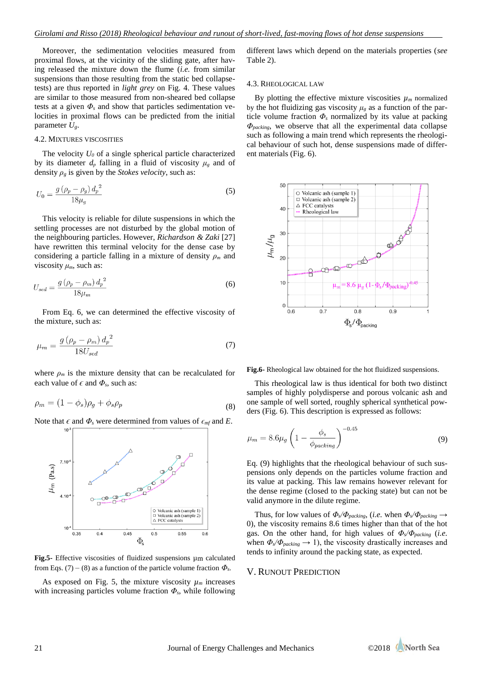Moreover, the sedimentation velocities measured from proximal flows, at the vicinity of the sliding gate, after having released the mixture down the flume (*i.e.* from similar suspensions than those resulting from the static bed collapsetests) are thus reported in *light grey* on Fig. 4. These values are similar to those measured from non-sheared bed collapse tests at a given  $\Phi_s$  and show that particles sedimentation velocities in proximal flows can be predicted from the initial parameter  $U_g$ .

#### 4.2. MIXTURES VISCOSITIES

The velocity  $U_0$  of a single spherical particle characterized by its diameter  $d_p$  falling in a fluid of viscosity  $\mu_g$  and of density  $\rho_g$  is given by the *Stokes velocity*, such as:

$$
U_0 = \frac{g\left(\rho_p - \rho_g\right)d_p^2}{18\mu_q} \tag{5}
$$

This velocity is reliable for dilute suspensions in which the settling processes are not disturbed by the global motion of the neighbouring particles. However, *Richardson & Zaki* [27] have rewritten this terminal velocity for the dense case by considering a particle falling in a mixture of density *ρ<sup>m</sup>* and viscosity  $\mu_m$ , such as:

$$
U_{sed} = \frac{g\left(\rho_p - \rho_m\right)d_p^2}{18\mu_m} \tag{6}
$$

From Eq. 6, we can determined the effective viscosity of the mixture, such as:

$$
\mu_m = \frac{g\left(\rho_p - \rho_m\right)d_p^2}{18U_{sed}}\tag{7}
$$

where  $\rho_m$  is the mixture density that can be recalculated for each value of  $\epsilon$  and  $\Phi_s$ , such as:

$$
\rho_m = (1 - \phi_s)\rho_g + \phi_s \rho_p \tag{8}
$$

Note that  $\epsilon$  and  $\Phi$ <sub>*s*</sub> were determined from values of  $\epsilon$ <sub>*mf*</sub> and *E*.



**Fig.5-** Effective viscosities of fluidized suspensions µm calculated from Eqs. (7) – (8) as a function of the particle volume fraction  $\Phi_s$ .

As exposed on Fig. 5, the mixture viscosity  $\mu_m$  increases with increasing particles volume fraction *Φs*, while following

different laws which depend on the materials properties (*see* Table 2).

#### 4.3. RHEOLOGICAL LAW

By plotting the effective mixture viscosities  $\mu_m$  normalized by the hot fluidizing gas viscosity  $\mu_g$  as a function of the particle volume fraction  $\Phi_s$  normalized by its value at packing *Φpacking*, we observe that all the experimental data collapse such as following a main trend which represents the rheological behaviour of such hot, dense suspensions made of different materials (Fig. 6).



**Fig.6-** Rheological law obtained for the hot fluidized suspensions.

This rheological law is thus identical for both two distinct samples of highly polydisperse and porous volcanic ash and one sample of well sorted, roughly spherical synthetical powders (Fig. 6). This description is expressed as follows:

$$
\mu_m = 8.6 \mu_g \left( 1 - \frac{\phi_s}{\phi_{packing}} \right)^{-0.45} \tag{9}
$$

Eq. (9) highlights that the rheological behaviour of such suspensions only depends on the particles volume fraction and its value at packing. This law remains however relevant for the dense regime (closed to the packing state) but can not be valid anymore in the dilute regime.

Thus, for low values of  $\Phi_s/\Phi_{packing}$ , (*i.e.* when  $\Phi_s/\Phi_{packing} \rightarrow$ 0), the viscosity remains 8.6 times higher than that of the hot gas. On the other hand, for high values of  $\Phi_s/\Phi_{\text{packing}}$  (*i.e.* when  $\Phi_s/\Phi_{packing} \rightarrow 1$ , the viscosity drastically increases and tends to infinity around the packing state, as expected.

## V. RUNOUT PREDICTION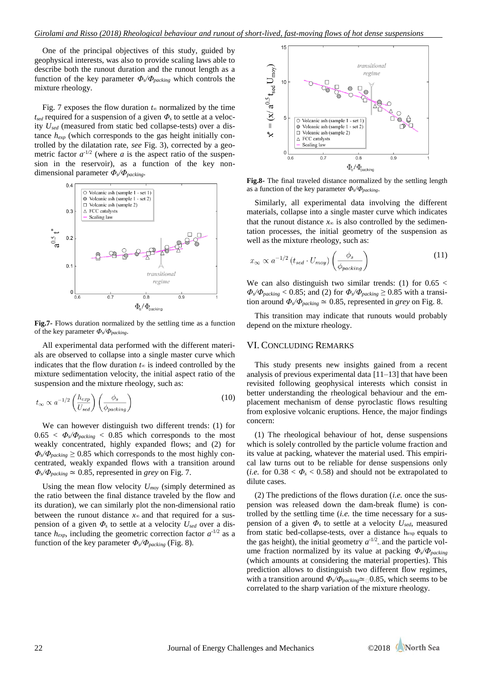One of the principal objectives of this study, guided by geophysical interests, was also to provide scaling laws able to describe both the runout duration and the runout length as a function of the key parameter  $\Phi_{s}/\Phi_{package}$  which controls the mixture rheology.

Fig. 7 exposes the flow duration  $t_{\infty}$  normalized by the time *tsed* required for a suspension of a given *Φ<sup>s</sup>* to settle at a velocity *Used* (measured from static bed collapse-tests) over a distance *hexp* (which corresponds to the gas height initially controlled by the dilatation rate, *see* Fig. 3), corrected by a geometric factor  $a^{-1/2}$  (where *a* is the aspect ratio of the suspension in the reservoir), as a function of the key nondimensional parameter *Φs/Φpacking*.



**Fig.7-** Flows duration normalized by the settling time as a function of the key parameter *Φs/Φpacking*.

All experimental data performed with the different materials are observed to collapse into a single master curve which indicates that the flow duration  $t_{\infty}$  is indeed controlled by the mixture sedimentation velocity, the initial aspect ratio of the suspension and the mixture rheology, such as:

$$
t_{\infty} \propto a^{-1/2} \left( \frac{h_{exp}}{U_{sed}} \right) \left( \frac{\phi_s}{\phi_{packing}} \right)
$$
 (10)

We can however distinguish two different trends: (1) for  $0.65 < \Phi_s/\Phi_{packing} < 0.85$  which corresponds to the most weakly concentrated, highly expanded flows; and (2) for  $\Phi$ <sub>*s*</sub> $\Phi$ <sub>*packing*</sub>  $\geq$  0.85 which corresponds to the most highly concentrated, weakly expanded flows with a transition around  $\Phi_s/\Phi_{packing} \simeq 0.85$ , represented in *grey* on Fig. 7.

Using the mean flow velocity *Umoy* (simply determined as the ratio between the final distance traveled by the flow and its duration), we can similarly plot the non-dimensional ratio between the runout distance  $x_{\infty}$  and that required for a suspension of a given  $\Phi$ <sub>*s*</sub> to settle at a velocity  $U_{\text{sed}}$  over a distance  $h_{exp}$ , including the geometric correction factor  $a^{-1/2}$  as a function of the key parameter *Φs/Φpacking* (Fig. 8).



**Fig.8-** The final traveled distance normalized by the settling length as a function of the key parameter *Φs/Φpacking*.

Similarly, all experimental data involving the different materials, collapse into a single master curve which indicates that the runout distance  $x_{\infty}$  is also controlled by the sedimentation processes, the initial geometry of the suspension as well as the mixture rheology, such as:

$$
x_{\infty} \propto a^{-1/2} \left( t_{sed} \cdot U_{moy} \right) \left( \frac{\phi_s}{\phi_{packing}} \right) \tag{11}
$$

We can also distinguish two similar trends: (1) for  $0.65 <$  $\Phi_s/\Phi_{packing} < 0.85$ ; and (2) for  $\Phi_s/\Phi_{packing} \geq 0.85$  with a transition around  $\Phi_s/\Phi_{packing} \simeq 0.85$ , represented in *grey* on Fig. 8.

This transition may indicate that runouts would probably depend on the mixture rheology.

## VI. CONCLUDING REMARKS

This study presents new insights gained from a recent analysis of previous experimental data [11–13] that have been revisited following geophysical interests which consist in better understanding the rheological behaviour and the emplacement mechanism of dense pyroclastic flows resulting from explosive volcanic eruptions. Hence, the major findings concern:

(1) The rheological behaviour of hot, dense suspensions which is solely controlled by the particle volume fraction and its value at packing, whatever the material used. This empirical law turns out to be reliable for dense suspensions only (*i.e.* for  $0.38 < \Phi_s < 0.58$ ) and should not be extrapolated to dilute cases.

(2) The predictions of the flows duration (*i.e.* once the suspension was released down the dam-break flume) is controlled by the settling time (*i.e.* the time necessary for a suspension of a given  $\Phi_s$  to settle at a velocity  $U_{\text{sed}}$ , measured from static bed-collapse-tests, over a distance hexp equals to the gas height), the initial geometry  $a^{-1/2}$ , and the particle volume fraction normalized by its value at packing *Φs/Φpacking* (which amounts at considering the material properties). This prediction allows to distinguish two different flow regimes, with a transition around  $\Phi_s/\Phi_{packing} \simeq 0.85$ , which seems to be correlated to the sharp variation of the mixture rheology.